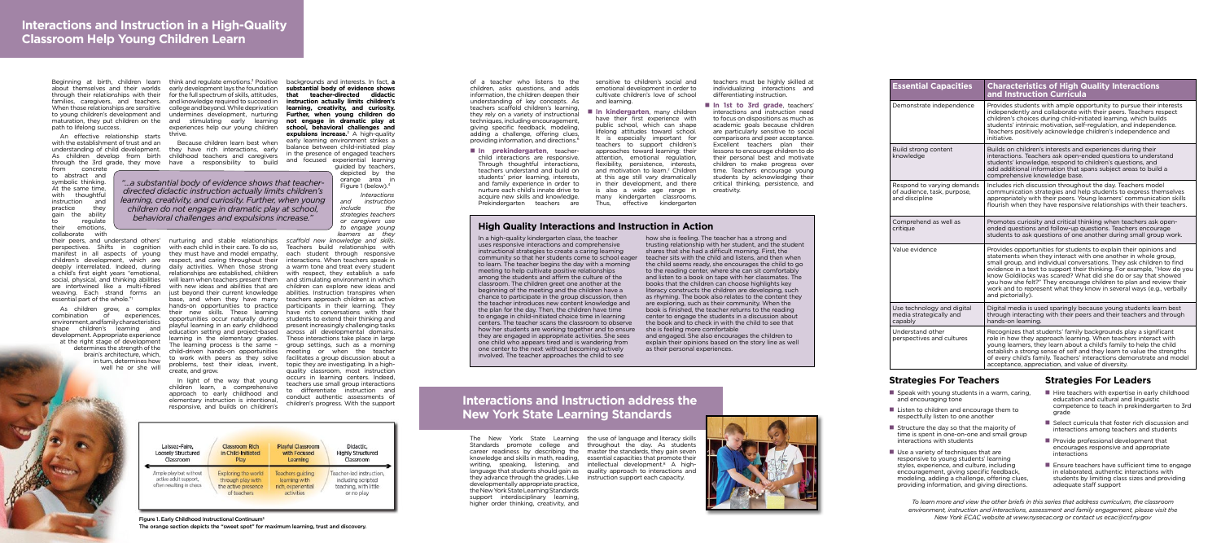**High Quality Interactions and Instruction in Action**

In a high-quality kindergarten class, the teacher uses responsive interactions and comprehensive instructional strategies to create a caring learning community so that her students come to school eager to learn. The teacher begins the day with a morning meeting to help cultivate positive relationships among the students and affirm the culture of the classroom. The children greet one another at the beginning of the meeting and the children have a chance to participate in the group discussion, then the teacher introduces new content knowledge and the plan for the day. Then, the children have time to engage in child-initiated choice time in learning centers. The teacher scans the classroom to observe how her students are working together and to ensure they are engaged in appropriate activities. She sees one child who appears tired and is wandering from one center to the next without becoming actively involved. The teacher approaches the child to see

writing, speaking, listening, and intellectual development.<sup>8</sup> A highthey advance through the grades. Like instruction support each capacity. developmentally appropriate practice, the New York State Learning Standards support interdisciplinary learning, higher order thinking, creativity, and

The New York State Learning the use of language and literacy skills Standards promote college and throughout the day. As students career readiness by describing the master the standards, they gain seven knowledge and skills in math, reading, essential capacities that promote their language that students should gain as quality approach to interactions and

how she is feeling. The teacher has a strong and trusting relationship with her student, and the student shares that she had a difficult morning. First, the teacher sits with the child and listens, and then when the child seems ready, she encourages the child to go to the reading center, where she can sit comfortably and listen to a book on tape with her classmates. The books that the children can choose highlights key literacy constructs the children are developing, such as rhyming. The book also relates to the content they are exploring, such as their community. When the book is finished, the teacher returns to the reading center to engage the students in a discussion about the book and to check in with the child to see that she is feeling more comfortable and engaged. She also encourages the children to

explain their opinions based on the story line as well as their personal experiences.



# **Interactions and Instruction address the New York State Learning Standards**

- $\blacksquare$  Speak with young students in a warm, caring, and encouraging tone
- $\blacksquare$  Listen to children and encourage them to respectfully listen to one another
- $\blacksquare$  Structure the day so that the majority of time is spent in one-on-one and small group interactions with students
- $\blacksquare$  Use a variety of techniques that are responsive to young students' learning styles, experience, and culture, including encouragement, giving specific feedback, modeling, adding a challenge, offering clues, providing information, and giving directions.

of a teacher who listens to the children, asks questions, and adds information, the children deepen their understanding of key concepts. As teachers scaffold children's learning, they rely on a variety of instructional techniques, including encouragement, giving specific feedback, modeling, adding a challenge, offering clues, providing information, and directions.<sup>6</sup>

 $\blacksquare$  **In prekindergarten**, teacherchild interactions are responsive. Through thoughtful interactions, teachers understand and build on students' prior learning, interests, and family experience in order to nurture each child's innate drive to acquire new skills and knowledge. Prekindergarten teachers are

 $\blacksquare$  **In kindergarten**, many children have their first experience with public school, which can shape lifelong attitudes toward school. It is especially important for teachers to support children's approaches toward learning: their attention, emotional regulation, flexibility, persistence, interests, and motivation to learn.<sup>7</sup> Children at this age still vary dramatically in their development, and there is also a wide age range in many kindergarten classrooms. Thus, effective kindergarten

 $\blacksquare$  **In 1st to 3rd grade**, teachers' interactions and instruction need to focus on dispositions as much as academic goals because children are particularly sensitive to social comparisons and peer acceptance. Excellent teachers plan their lessons to encourage children to do their personal best and motivate children to make progress over time. Teachers encourage young students by acknowledging their critical thinking, persistence, and creativity.

| <b>Essential Capacities</b>                                                 | <b>Characteristics of High Quality Interactions</b><br>and Instruction Curricula                                                                                                                                                                                                                                                                                                                                                                                                                                            |
|-----------------------------------------------------------------------------|-----------------------------------------------------------------------------------------------------------------------------------------------------------------------------------------------------------------------------------------------------------------------------------------------------------------------------------------------------------------------------------------------------------------------------------------------------------------------------------------------------------------------------|
| Demonstrate independence                                                    | Provides students with ample opportunity to pursue their interests<br>independently and collaborate with their peers. Teachers respect<br>children's choices during child-initiated learning, which builds<br>students' intrinsic motivation, self-regulation, and independence.<br>Teachers positively acknowledge children's independence and<br>initiative.                                                                                                                                                              |
| Build strong content<br>knowledge                                           | Builds on children's interests and experiences during their<br>interactions. Teachers ask open-ended questions to understand<br>students' knowledge, respond to children's questions, and<br>add additional information that spans subject areas to build a<br>comprehensive knowledge base.                                                                                                                                                                                                                                |
| Respond to varying demands<br>of audience, task, purpose,<br>and discipline | Includes rich discussion throughout the day. Teachers model<br>communication strategies and help students to express themselves<br>appropriately with their peers. Young learners' communication skills<br>flourish when they have responsive relationships with their teachers.                                                                                                                                                                                                                                            |
| Comprehend as well as<br>critique                                           | Promotes curiosity and critical thinking when teachers ask open-<br>ended questions and follow-up questions. Teachers encourage<br>students to ask questions of one another during small group work.                                                                                                                                                                                                                                                                                                                        |
| Value evidence                                                              | Provides opportunities for students to explain their opinions and<br>statements when they interact with one another in whole group.<br>small group, and individual conversations. They ask children to find<br>evidence in a text to support their thinking. For example, "How do you<br>know Goldilocks was scared? What did she do or say that showed<br>you how she felt?" They encourage children to plan and review their<br>work and to represent what they know in several ways (e.g., verbally<br>and pictorially). |
| Use technology and digital<br>media strategically and<br>capably            | Digital media is used sparingly because young students learn best<br>through interacting with their peers and their teachers and through<br>hands-on learning.                                                                                                                                                                                                                                                                                                                                                              |
| Understand other<br>perspectives and cultures                               | Recognizes that students' family backgrounds play a significant<br>role in how they approach learning. When teachers interact with<br>young learners, they learn about a child's family to help the child<br>establish a strong sense of self and they learn to value the strengths<br>of every child's family. Teachers' interactions demonstrate and model<br>acceptance, appreciation, and value of diversity.                                                                                                           |

- $\blacksquare$  Hire teachers with expertise in early childhood education and cultural and linguistic competence to teach in prekindergarten to 3rd grade
- $\blacksquare$  Select curricula that foster rich discussion and interactions among teachers and students
- $\blacksquare$  Provide professional development that encourages responsive and appropriate interactions
- $\blacksquare$  Ensure teachers have sufficient time to engage in elaborated, authentic interactions with students by limiting class sizes and providing adequate staff support

Beginning at birth, children learn think and regulate emotions.<sup>2</sup> Positive backgrounds and interests. In fact, **a** about themselves and their worlds early development lays the foundation through their relationships with their for the full spectrum of skills, attitudes, When those relationships are sensitive college and beyond. While deprivation to young children's development and undermines development, nurturing maturation, they put children on the and stimulating early learning and knowledge required to succeed in experiences help our young children thrive.

sensitive to children's social and emotional development in order to cultivate children's love of school and learning.

teachers must be highly skilled at individualizing interactions and differentiating instruction.

## **Strategies For Teachers Strategies For Leaders**

*To learn more and view the other briefs in this series that address curriculum, the classroom environment, instruction and interactions, assessment and family engagement, please visit the*  Figure 1. Early Childhood Instructional Continuum5 *New York ECAC website at www.nysecac.org or contact us ecac@ccf.ny.gov*

The orange section depicts the "sweet spot" for maximum learning, trust and discovery.

families, caregivers, and teachers. path to lifelong success.

An effective relationship starts with the establishment of trust and an understanding of child development. As children develop from birth

from concrete to abstract and symbolic thinking. At the same time, with thoughtful instruction and practice they gain the ability<br>to requiate regulate their emotions, collaborate with

a child's first eight years "emotional, are intertwined like a multi-fibred weaving. Each strand forms an essential part of the whole."1

through the 3rd grade, they move have a responsibility to build Because children learn best when they have rich interactions, early childhood teachers and caregivers

As children grow, a complex combination of experiences, environment, and family characteristics shape children's learning and development. Appropriate experience at the right stage of development determines the strength of the brain's architecture, which, in turn, determines how well he or she will

their peers, and understand others' nurturing and stable relationships *scaffold new knowledge and skills*. perspectives. Shifts in cognition with each child in their care. To do so, Teachers build relationships with manifest in all aspects of young they must have and model empathy, children's development, which are respect, and caring throughout their deeply interrelated. Indeed, during daily activities. When those strong social, physical, and thinking abilities will learn when teachers present them relationships are established, children with new ideas and abilities that are just beyond their current knowledge base, and when they have many hands-on opportunities to practice their new skills. These learning opportunities occur naturally during playful learning in an early childhood education setting and project-based learning in the elementary grades. The learning process is the same – child-driven hands-on opportunities to work with peers as they solve problems, test their ideas, invent, create, and grow.

> In light of the way that young children learn, a comprehensive approach to early childhood and elementary instruction is intentional, responsive, and builds on children's

**substantial body of evidence shows that teacher-directed didactic instruction actually limits children's learning, creativity, and curiosity. Further, when young children do not engage in dramatic play at school, behavioral challenges and expulsions increase.**3 A high-quality early learning environment strikes a balance between child-initiated play in the presence of engaged teachers and focused experiential learning guided by teachers,

> depicted by the orange area in Figure 1 (below).4

*Interactions and instruction include the strategies teachers or caregivers use to engage young learners as they* 

each student through responsive interactions. When teachers speak in a warm tone and treat every student with respect, they establish a safe and stimulating environment in which children can explore new ideas and abilities. Instruction transpires when teachers approach children as active participants in their learning. They have rich conversations with their students to extend their thinking and present increasingly challenging tasks across all developmental domains. These interactions take place in large group settings, such as a morning meeting or when the teacher facilitates a group discussion about a topic they are investigating. In a highquality classroom, most instruction occurs in learning centers. Indeed, teachers use small group interactions to differentiate instruction and conduct authentic assessments of children's progress. With the support



## **Interactions and Instruction in a High-Quality Classroom Help Young Children Learn**

*"...a substantial body of evidence shows that teacherdirected didactic instruction actually limits children's learning, creativity, and curiosity. Further, when young children do not engage in dramatic play at school, behavioral challenges and expulsions increase."*